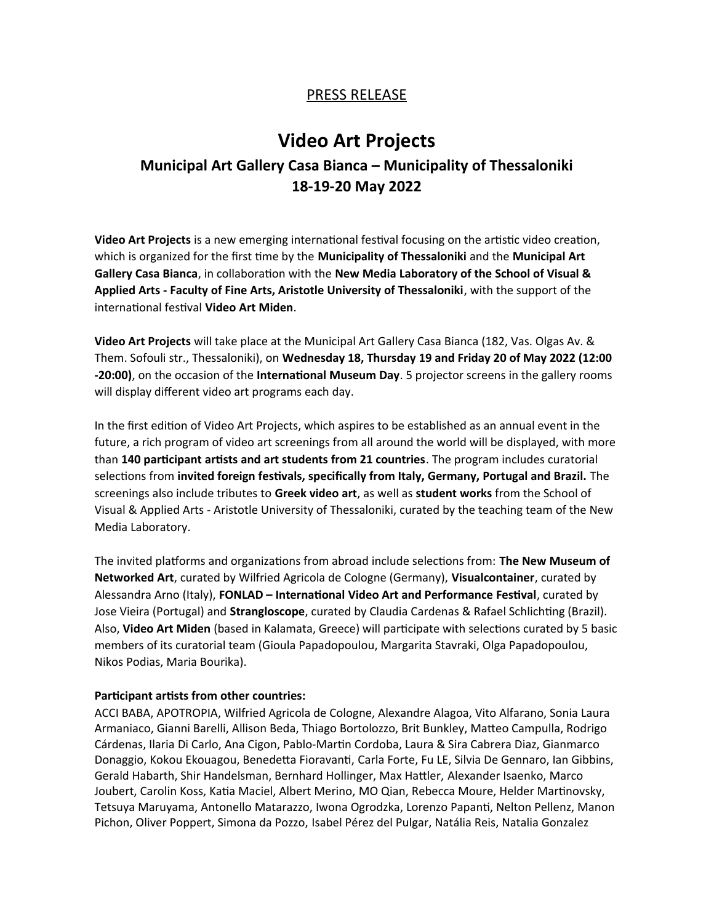# PRESS RELEASE

# **Video Art Projects Municipal Art Gallery Casa Bianca – Municipality of Thessaloniki 18-19-20 May 2022**

**Video Art Projects** is a new emerging international festival focusing on the artistic video creation, which is organized for the first time by the **Municipality of Thessaloniki** and the **Municipal Art Gallery Casa Bianca**, in collaboration with the **New Media Laboratory of the School of Visual & Applied Arts - Faculty of Fine Arts, Aristotle University of Thessaloniki**, with the support of the international festival **Video Art Miden**.

**Video Art Projects** will take place at the Municipal Art Gallery Casa Bianca (182, Vas. Olgas Av. & Them. Sofouli str., Thessaloniki), on **Wednesday 18, Thursday 19 and Friday 20 of May 2022 (12:00 -20:00)**, on the occasion of the **International Museum Day**. 5 projector screens in the gallery rooms will display different video art programs each day.

In the first edition of Video Art Projects, which aspires to be established as an annual event in the future, a rich program of video art screenings from all around the world will be displayed, with more than **140 participant artists and art students from 21 countries**. The program includes curatorial selections from **invited foreign festivals, specifically from Italy, Germany, Portugal and Brazil.** The screenings also include tributes to **Greek video art**, as well as **student works** from the School of Visual & Applied Arts - Aristotle University of Thessaloniki, curated by the teaching team of the New Media Laboratory.

The invited platforms and organizations from abroad include selections from: **The New Museum of Networked Art**, curated by Wilfried Agricola de Cologne (Germany), **Visualcontainer**, curated by Alessandra Arno (Italy), **FONLAD – International Video Art and Performance Festival**, curated by Jose Vieira (Portugal) and **Strangloscope**, curated by Claudia Cardenas & Rafael Schlichting (Brazil). Also, **Video Art Miden** (based in Kalamata, Greece) will participate with selections curated by 5 basic members of its curatorial team (Gioula Papadopoulou, Margarita Stavraki, Olga Papadopoulou, Nikos Podias, Maria Bourika).

#### **Participant artists from other countries:**

ACCI BABA, APOTROPIA, Wilfried Agricola de Cologne, Alexandre Alagoa, Vito Alfarano, Sonia Laura Armaniaco, Gianni Barelli, Allison Beda, Thiago Bortolozzo, Brit Bunkley, Matteo Campulla, Rodrigo Cárdenas, Ilaria Di Carlo, Ana Cigon, Pablo-Martin Cordoba, Laura & Sira Cabrera Diaz, Gianmarco Donaggio, Kokou Ekouagou, Benedetta Fioravanti, Carla Forte, Fu LE, Silvia De Gennaro, Ian Gibbins, Gerald Habarth, Shir Handelsman, Bernhard Hollinger, Max Hattler, Alexander Isaenko, Marco Joubert, Carolin Koss, Katia Maciel, Albert Merino, MO Qian, Rebecca Moure, Helder Martinovsky, Tetsuya Maruyama, Antonello Matarazzo, Iwona Ogrodzka, Lorenzo Papanti, Nelton Pellenz, Manon Pichon, Oliver Poppert, Simona da Pozzo, Isabel Pérez del Pulgar, Natália Reis, Natalia Gonzalez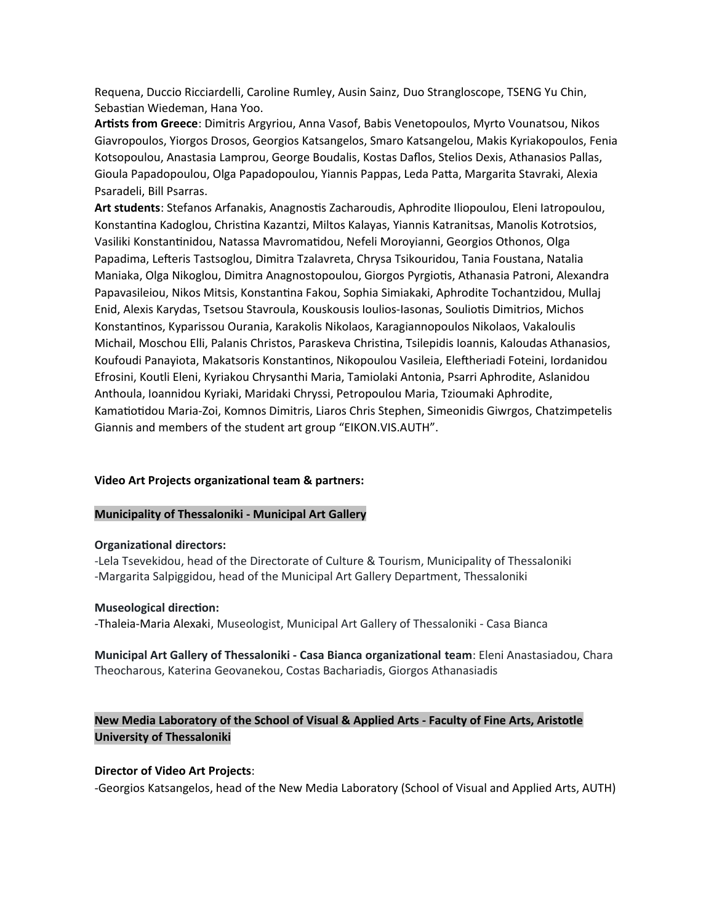Requena, Duccio Ricciardelli, Caroline Rumley, Ausin Sainz, Duo Strangloscope, TSENG Yu Chin, Sebastian Wiedeman, Hana Yoo.

**Artists from Greece**: Dimitris Argyriou, Anna Vasof, Babis Venetopoulos, Myrto Vounatsou, Nikos Giavropoulos, Yiorgos Drosos, Georgios Katsangelos, Smaro Katsangelou, Makis Kyriakopoulos, Fenia Kotsopoulou, Anastasia Lamprou, George Boudalis, Kostas Daflos, Stelios Dexis, Athanasios Pallas, Gioula Papadopoulou, Olga Papadopoulou, Yiannis Pappas, Leda Patta, Margarita Stavraki, Alexia Psaradeli, Bill Psarras.

**Art students**: Stefanos Arfanakis, Anagnostis Zacharoudis, Aphrodite Iliopoulou, Eleni Iatropoulou, Konstantina Kadoglou, Christina Kazantzi, Miltos Kalayas, Yiannis Katranitsas, Manolis Kotrotsios, Vasiliki Konstantinidou, Natassa Mavromatidou, Nefeli Moroyianni, Georgios Othonos, Olga Papadima, Lefteris Tastsoglou, Dimitra Tzalavreta, Chrysa Tsikouridou, Tania Foustana, Natalia Maniaka, Olga Nikoglou, Dimitra Anagnostopoulou, Giorgos Pyrgiotis, Athanasia Patroni, Alexandra Papavasileiou, Nikos Mitsis, Konstantina Fakou, Sophia Simiakaki, Aphrodite Tochantzidou, Mullaj Enid, Alexis Karydas, Tsetsou Stavroula, Kouskousis Ioulios-Iasonas, Souliotis Dimitrios, Michos Konstantinos, Kyparissou Ourania, Karakolis Nikolaos, Karagiannopoulos Nikolaos, Vakaloulis Michail, Moschou Elli, Palanis Christos, Paraskeva Christina, Tsilepidis Ioannis, Kaloudas Athanasios, Koufoudi Panayiota, Makatsoris Konstantinos, Nikopoulou Vasileia, Eleftheriadi Foteini, Iordanidou Efrosini, Koutli Eleni, Kyriakou Chrysanthi Maria, Tamiolaki Antonia, Psarri Aphrodite, Aslanidou Anthoula, Ioannidou Kyriaki, Maridaki Chryssi, Petropoulou Maria, Tzioumaki Aphrodite, Kamatiotidou Maria-Zoi, Komnos Dimitris, Liaros Chris Stephen, Simeonidis Giwrgos, Chatzimpetelis Giannis and members of the student art group "EIKON.VIS.AUTH".

#### **Video Art Projects organizational team & partners:**

#### **Municipality of Thessaloniki - Municipal Art Gallery**

#### **Organizational directors:**

-Lela Tsevekidou, head of the Directorate of Culture & Tourism, Municipality of Thessaloniki -Margarita Salpiggidou, head of the Municipal Art Gallery Department, Thessaloniki

#### **Museological direction:**

-Thaleia-Maria Alexaki, Museologist, Municipal Art Gallery of Thessaloniki - Casa Bianca

**Municipal Art Gallery of Thessaloniki - Casa Bianca organizational team**: Eleni Anastasiadou, Chara Theocharous, Katerina Geovanekou, Costas Bachariadis, Giorgos Athanasiadis

# **New Media Laboratory of the School of Visual & Applied Arts - Faculty of Fine Arts, Aristotle University of Thessaloniki**

#### **Director of Video Art Projects**:

-Georgios Katsangelos, head of the New Media Laboratory (School of Visual and Applied Arts, AUTH)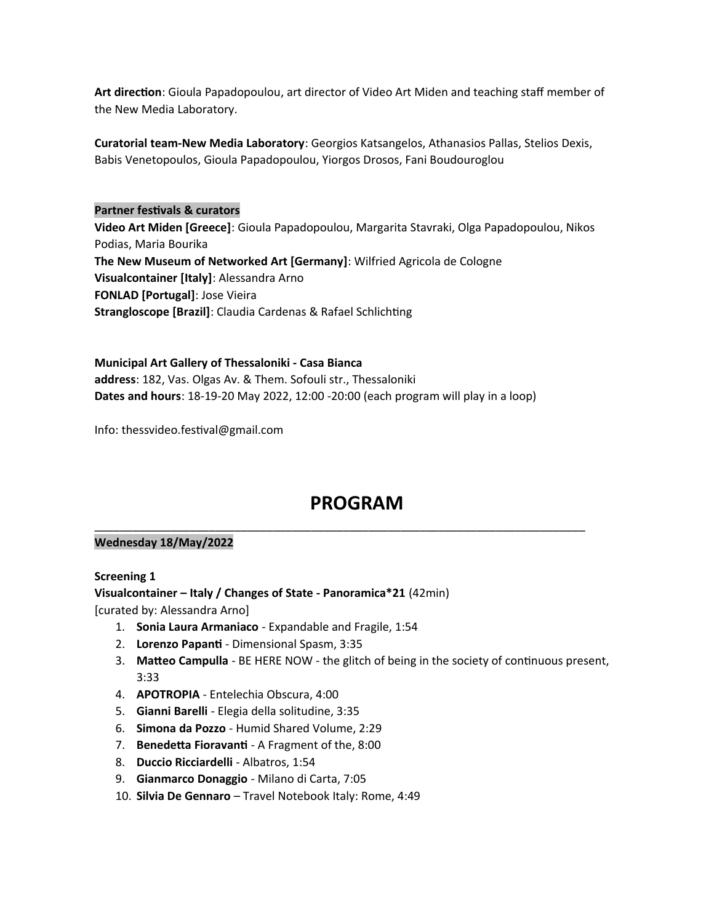**Art direction**: Gioula Papadopoulou, art director of Video Art Miden and teaching staff member of the New Media Laboratory.

**Curatorial team-New Media Laboratory**: Georgios Katsangelos, Athanasios Pallas, Stelios Dexis, Babis Venetopoulos, Gioula Papadopoulou, Yiorgos Drosos, Fani Boudouroglou

# **Partner festivals & curators Video Art Miden [Greece]**: Gioula Papadopoulou, Margarita Stavraki, Olga Papadopoulou, Nikos Podias, Maria Bourika **The New Museum of Networked Art [Germany]**: Wilfried Agricola de Cologne **Visualcontainer [Italy]**: Alessandra Arno **FONLAD [Portugal]**: Jose Vieira **Strangloscope [Brazil]**: Claudia Cardenas & Rafael Schlichting

**Municipal Art Gallery of Thessaloniki - Casa Bianca address**: 182, Vas. Olgas Av. & Them. Sofouli str., Thessaloniki **Dates and hours**: 18-19-20 May 2022, 12:00 -20:00 (each program will play in a loop)

Info: [thessvideo.festival@gmail.com](mailto:thessvideo.festival@gmail.com)

# **PROGRAM**

\_\_\_\_\_\_\_\_\_\_\_\_\_\_\_\_\_\_\_\_\_\_\_\_\_\_\_\_\_\_\_\_\_\_\_\_\_\_\_\_\_\_\_\_\_\_\_\_\_\_\_\_\_\_\_\_\_\_\_\_\_\_\_\_\_\_\_\_\_\_\_\_\_\_\_\_\_

# **Wednesday 18/May/2022**

#### **Screening 1**

**Visualcontainer – Italy / Changes of State - Panoramica\*21** (42min)

[curated by: Alessandra Arno]

- 1. **Sonia Laura Armaniaco** Expandable and Fragile, 1:54
- 2. **Lorenzo Papanti** Dimensional Spasm, 3:35
- 3. **Matteo Campulla** BE HERE NOW the glitch of being in the society of continuous present, 3:33
- 4. **APOTROPIA** Entelechia Obscura, 4:00
- 5. **Gianni Barelli** Elegia della solitudine, 3:35
- 6. **Simona da Pozzo** Humid Shared Volume, 2:29
- 7. **Benedetta Fioravanti** A Fragment of the, 8:00
- 8. **Duccio Ricciardelli** Albatros, 1:54
- 9. **Gianmarco Donaggio** Milano di Carta, 7:05
- 10. **Silvia De Gennaro** Travel Notebook Italy: Rome, 4:49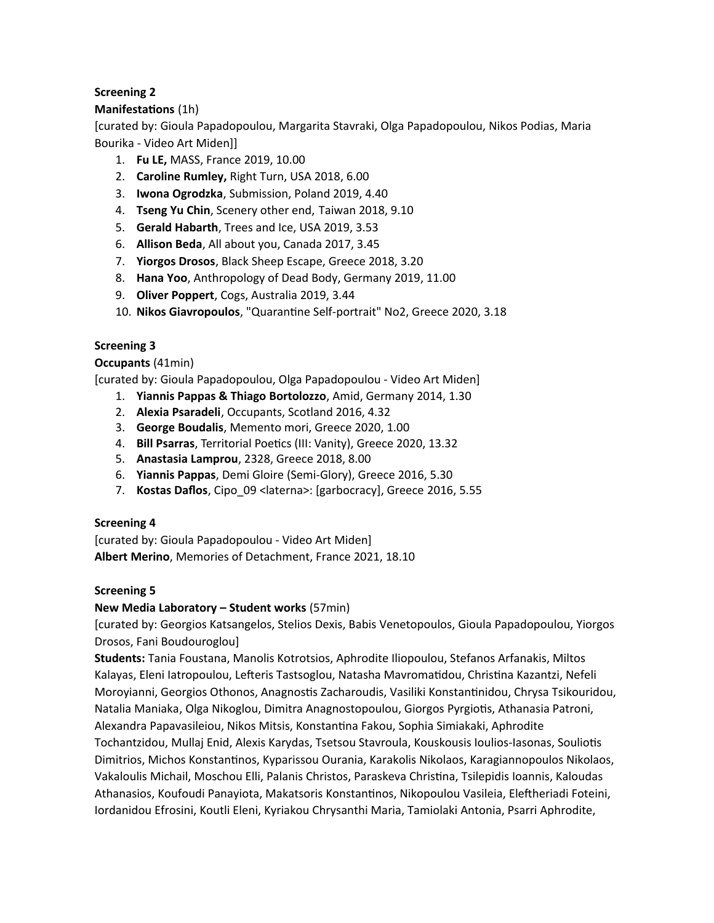# **Screening 2**

# **Manifestations** (1h)

[curated by: Gioula Papadopoulou, Margarita Stavraki, Olga Papadopoulou, Nikos Podias, Maria Bourika - Video Art Miden]]

- 1. **Fu LE,** MASS, France 2019, 10.00
- 2. **Caroline Rumley,** Right Turn, USA 2018, 6.00
- 3. **Iwona Ogrodzka**, Submission, Poland 2019, 4.40
- 4. **Tseng Yu Chin**, Scenery other end, Taiwan 2018, 9.10
- 5. **Gerald Habarth**, Trees and Ice, USA 2019, 3.53
- 6. **Allison Beda**, All about you, Canada 2017, 3.45
- 7. **Yiorgos Drosos**, Black Sheep Escape, Greece 2018, 3.20
- 8. **Hana Yoo**, Anthropology of Dead Body, Germany 2019, 11.00
- 9. **Oliver Poppert**, Cogs, Australia 2019, 3.44
- 10. **Nikos Giavropoulos**, "Quarantine Self-portrait" No2, Greece 2020, 3.18

# **Screening 3**

**Occupants** (41min)

[curated by: Gioula Papadopoulou, Olga Papadopoulou - Video Art Miden]

- 1. **Yiannis Pappas & Thiago Bortolozzo**, Amid, Germany 2014, 1.30
- 2. **Alexia Psaradeli**, Occupants, Scotland 2016, 4.32
- 3. **George Boudalis**, Memento mori, Greece 2020, 1.00
- 4. **Bill Psarras**, Territorial Poetics (III: Vanity), Greece 2020, 13.32
- 5. **Anastasia Lamprou**, 2328, Greece 2018, 8.00
- 6. **Yiannis Pappas**, Demi Gloire (Semi-Glory), Greece 2016, 5.30
- 7. **Kostas Daflos**, Cipo\_09 <laterna>: [garbocracy], Greece 2016, 5.55

#### **Screening 4**

[curated by: Gioula Papadopoulou - Video Art Miden] **Albert Merino**, Memories of Detachment, France 2021, 18.10

#### **Screening 5**

#### **New Media Laboratory – Student works** (57min)

[curated by: Georgios Katsangelos, Stelios Dexis, Babis Venetopoulos, Gioula Papadopoulou, Yiorgos Drosos, Fani Boudouroglou]

**Students:** Tania Foustana, Manolis Kotrotsios, Aphrodite Iliopoulou, Stefanos Arfanakis, Miltos Kalayas, Eleni Iatropoulou, Lefteris Tastsoglou, Natasha Mavromatidou, Christina Kazantzi, Nefeli Moroyianni, Georgios Othonos, Anagnostis Zacharoudis, Vasiliki Konstantinidou, Chrysa Tsikouridou, Natalia Maniaka, Olga Nikoglou, Dimitra Anagnostopoulou, Giorgos Pyrgiotis, Athanasia Patroni, Alexandra Papavasileiou, Nikos Mitsis, Konstantina Fakou, Sophia Simiakaki, Aphrodite Tochantzidou, Mullaj Enid, Alexis Karydas, Tsetsou Stavroula, Kouskousis Ioulios-Iasonas, Souliotis Dimitrios, Michos Konstantinos, Kyparissou Ourania, Karakolis Nikolaos, Karagiannopoulos Nikolaos, Vakaloulis Michail, Moschou Elli, Palanis Christos, Paraskeva Christina, Tsilepidis Ioannis, Kaloudas Athanasios, Koufoudi Panayiota, Makatsoris Konstantinos, Nikopoulou Vasileia, Eleftheriadi Foteini, Iordanidou Efrosini, Koutli Eleni, Kyriakou Chrysanthi Maria, Tamiolaki Antonia, Psarri Aphrodite,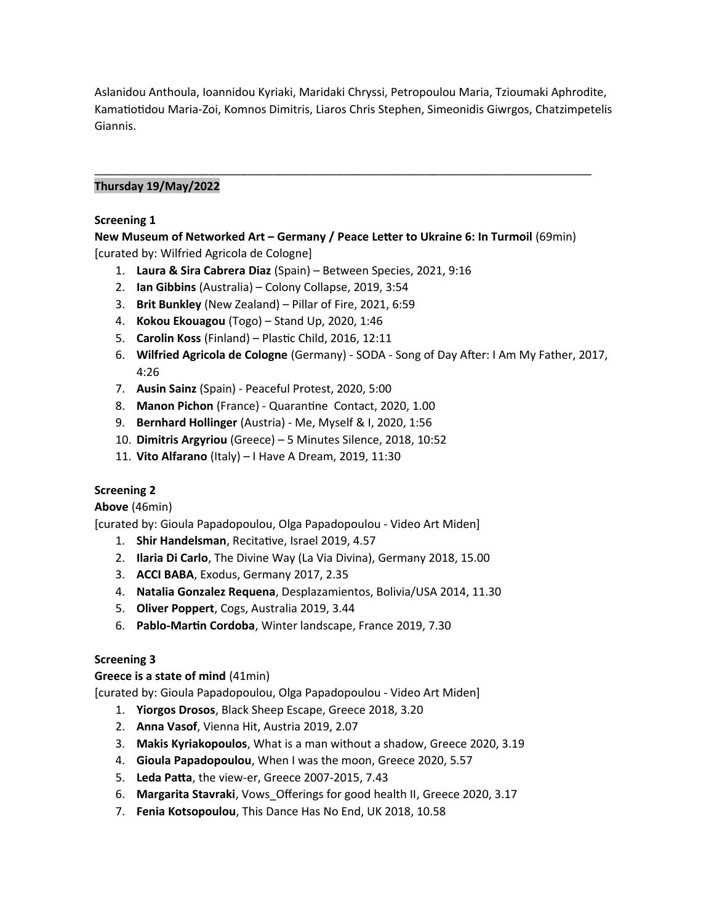Aslanidou Anthoula, Ioannidou Kyriaki, Maridaki Chryssi, Petropoulou Maria, Tzioumaki Aphrodite, Kamatiotidou Maria-Zoi, Komnos Dimitris, Liaros Chris Stephen, Simeonidis Giwrgos, Chatzimpetelis Giannis.

# **Thursday 19/May/2022**

#### **Screening 1**

**New Museum of Networked Art – Germany / Peace Letter to Ukraine 6: In Turmoil** (69min) [curated by: Wilfried Agricola de Cologne]

\_\_\_\_\_\_\_\_\_\_\_\_\_\_\_\_\_\_\_\_\_\_\_\_\_\_\_\_\_\_\_\_\_\_\_\_\_\_\_\_\_\_\_\_\_\_\_\_\_\_\_\_\_\_\_\_\_\_\_\_\_\_\_\_\_\_\_\_\_\_\_\_\_\_\_\_\_\_

- 1. **Laura & Sira Cabrera Diaz** (Spain) Between Species, 2021, 9:16
- 2. **Ian Gibbins** (Australia) Colony Collapse, 2019, 3:54
- 3. **Brit Bunkley** (New Zealand) Pillar of Fire, 2021, 6:59
- 4. **Kokou Ekouagou** (Togo) Stand Up, 2020, 1:46
- 5. **Carolin Koss** (Finland) Plastic Child, 2016, 12:11
- 6. **Wilfried Agricola de Cologne** (Germany) SODA Song of Day After: I Am My Father, 2017, 4:26
- 7. **Ausin Sainz** (Spain) Peaceful Protest, 2020, 5:00
- 8. **Manon Pichon** (France) Quarantine Contact, 2020, 1.00
- 9. **Bernhard Hollinger** (Austria) Me, Myself & I, 2020, 1:56
- 10. **Dimitris Argyriou** (Greece) 5 Minutes Silence, 2018, 10:52
- 11. **Vito Alfarano** (Italy) I Have A Dream, 2019, 11:30

#### **Screening 2**

**Above** (46min)

[curated by: Gioula Papadopoulou, Olga Papadopoulou - Video Art Miden]

- 1. **Shir Handelsman**, Recitative, Israel 2019, 4.57
- 2. **Ilaria Di Carlo**, The Divine Way (La Via Divina), Germany 2018, 15.00
- 3. **ACCI BABA**, Exodus, Germany 2017, 2.35
- 4. **Natalia Gonzalez Requena**, Desplazamientos, Bolivia/USA 2014, 11.30
- 5. **Oliver Poppert**, Cogs, Australia 2019, 3.44
- 6. **Pablo-Martin Cordoba**, Winter landscape, France 2019, 7.30

#### **Screening 3**

#### **Greece is a state of mind** (41min)

[curated by: Gioula Papadopoulou, Olga Papadopoulou - Video Art Miden]

- 1. **Yiorgos Drosos**, Black Sheep Escape, Greece 2018, 3.20
- 2. **Anna Vasof**, Vienna Hit, Austria 2019, 2.07
- 3. **Makis Kyriakopoulos**, What is a man without a shadow, Greece 2020, 3.19
- 4. **Gioula Papadopoulou**, When I was the moon, Greece 2020, 5.57
- 5. **Leda Patta**, the view-er, Greece 2007-2015, 7.43
- 6. **Margarita Stavraki**, Vows\_Offerings for good health II, Greece 2020, 3.17
- 7. **Fenia Kotsopoulou**, This Dance Has No End, UK 2018, 10.58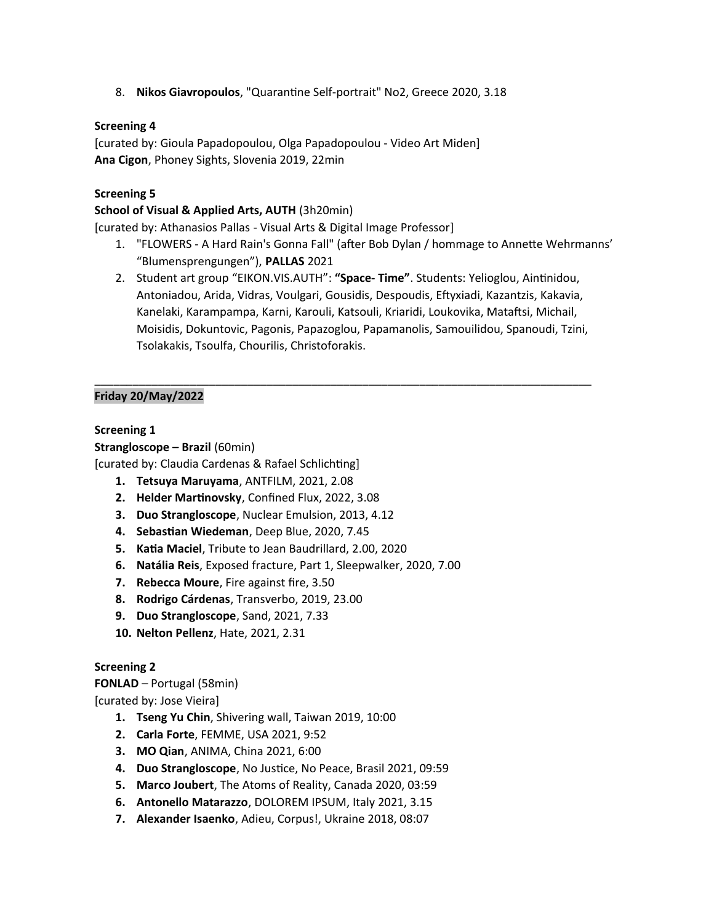8. **Nikos Giavropoulos**, "Quarantine Self-portrait" No2, Greece 2020, 3.18

# **Screening 4**

[curated by: Gioula Papadopoulou, Olga Papadopoulou - Video Art Miden] **Ana Cigon**, Phoney Sights, Slovenia 2019, 22min

### **Screening 5**

### **School of Visual & Applied Arts, AUTH** (3h20min)

[curated by: Athanasios Pallas - Visual Arts & Digital Image Professor]

- 1. "FLOWERS Α Hard Rain's Gonna Fall" (after Bob Dylan / hommage to Annette Wehrmanns' "Blumensprengungen"), **PALLAS** 2021
- 2. Student art group "EIKON.VIS.AUTH": **"Space- Time"**. Students: Yelioglou, Aintinidou, Antoniadou, Arida, Vidras, Voulgari, Gousidis, Despoudis, Eftyxiadi, Kazantzis, Kakavia, Kanelaki, Karampampa, Karni, Karouli, Katsouli, Kriaridi, Loukovika, Mataftsi, Michail, Moisidis, Dokuntovic, Pagonis, Papazoglou, Papamanolis, Samouilidou, Spanoudi, Tzini, Tsolakakis, Tsoulfa, Chourilis, Christoforakis.

\_\_\_\_\_\_\_\_\_\_\_\_\_\_\_\_\_\_\_\_\_\_\_\_\_\_\_\_\_\_\_\_\_\_\_\_\_\_\_\_\_\_\_\_\_\_\_\_\_\_\_\_\_\_\_\_\_\_\_\_\_\_\_\_\_\_\_\_\_\_\_\_\_\_\_\_\_\_

# **Friday 20/May/2022**

# **Screening 1**

**Strangloscope – Brazil** (60min)

[curated by: Claudia Cardenas & Rafael Schlichting]

- **1. Tetsuya Maruyama**, ANTFILM, 2021, 2.08
- **2. Helder Martinovsky**, Confined Flux, 2022, 3.08
- **3. Duo Strangloscope**, Nuclear Emulsion, 2013, 4.12
- **4. Sebastian Wiedeman**, Deep Blue, 2020, 7.45
- **5. Katia Maciel**, Tribute to Jean Baudrillard, 2.00, 2020
- **6. Natália Reis**, Exposed fracture, Part 1, Sleepwalker, 2020, 7.00
- **7. Rebecca Moure**, Fire against fire, 3.50
- **8. Rodrigo Cárdenas**, Transverbo, 2019, 23.00
- **9. Duo Strangloscope**, Sand, 2021, 7.33
- **10. Nelton Pellenz**, Hate, 2021, 2.31

#### **Screening 2**

**FONLAD** – Portugal (58min) [curated by: Jose Vieira]

- **1. Tseng Yu Chin**, Shivering wall, Taiwan 2019, 10:00
- **2. Carla Forte**, FEMME, USA 2021, 9:52
- **3. MO Qian**, ANIMA, China 2021, 6:00
- **4. Duo Strangloscope**, No Justice, No Peace, Brasil 2021, 09:59
- **5. Marco Joubert**, The Atoms of Reality, Canada 2020, 03:59
- **6. Antonello Matarazzo**, DOLOREM IPSUM, Italy 2021, 3.15
- **7. Alexander Isaenko**, Adieu, Corpus!, Ukraine 2018, 08:07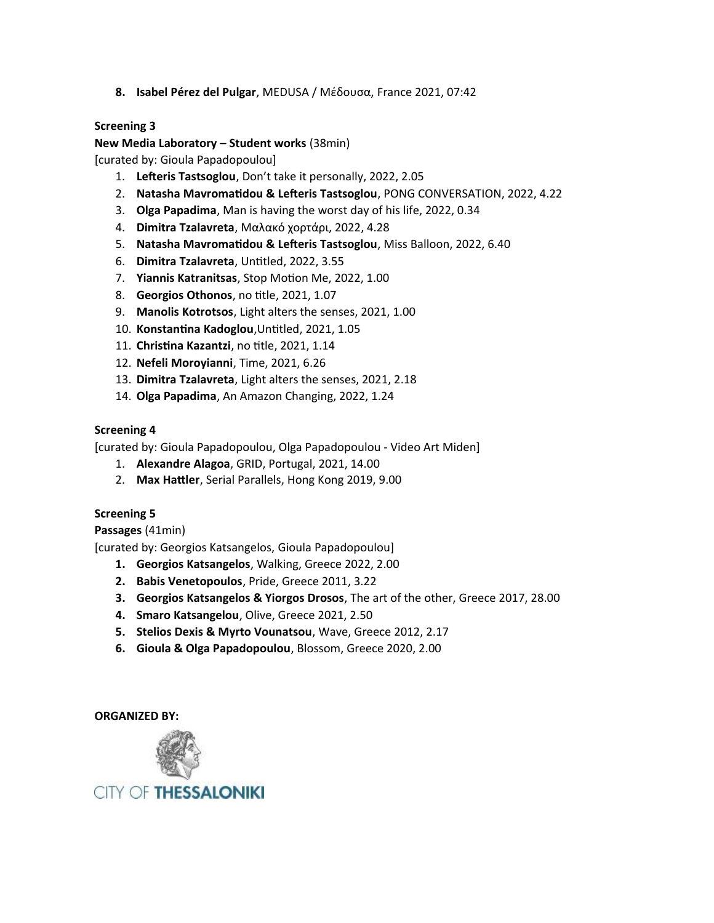**8. Isabel Pérez del Pulgar**, MEDUSA / Μέδουσα, France 2021, 07:42

# **Screening 3**

#### **New Media Laboratory – Student works** (38min)

[curated by: Gioula Papadopoulou]

- 1. **Lefteris Tastsoglou**, Don't take it personally, 2022, 2.05
- 2. **Natasha Mavromatidou & Lefteris Tastsoglou**, PONG CONVERSATION, 2022, 4.22
- 3. **Olga Papadima**, Man is having the worst day of his life, 2022, 0.34
- 4. **Dimitra Tzalavreta**, Μαλακό χορτάρι, 2022, 4.28
- 5. **Natasha Mavromatidou & Lefteris Tastsoglou**, Miss Balloon, 2022, 6.40
- 6. **Dimitra Tzalavreta**, Untitled, 2022, 3.55
- 7. **Yiannis Katranitsas**, Stop Motion Me, 2022, 1.00
- 8. **Georgios Othonos**, no title, 2021, 1.07
- 9. **Manolis Kotrotsos**, Light alters the senses, 2021, 1.00
- 10. **Konstantina Kadoglou**,Untitled, 2021, 1.05
- 11. **Christina Kazantzi**, no title, 2021, 1.14
- 12. **Nefeli Moroyianni**, Time, 2021, 6.26
- 13. **Dimitra Tzalavreta**, Light alters the senses, 2021, 2.18
- 14. **Olga Papadima**, An Amazon Changing, 2022, 1.24

#### **Screening 4**

[curated by: Gioula Papadopoulou, Olga Papadopoulou - Video Art Miden]

- 1. **Alexandre Alagoa**, GRID, Portugal, 2021, 14.00
- 2. **Max Hattler**, Serial Parallels, Hong Kong 2019, 9.00

#### **Screening 5**

**Passages** (41min)

[curated by: Georgios Katsangelos, Gioula Papadopoulou]

- **1. Georgios Katsangelos**, Walking, Greece 2022, 2.00
- **2. Babis Venetopoulos**, Pride, Greece 2011, 3.22
- **3. Georgios Katsangelos & Yiorgos Drosos**, The art of the other, Greece 2017, 28.00
- **4. Smaro Katsangelou**, Olive, Greece 2021, 2.50
- **5. Stelios Dexis & Myrto Vounatsou**, Wave, Greece 2012, 2.17
- **6. Gioula & Olga Papadopoulou**, Blossom, Greece 2020, 2.00

**ORGANIZED BY:**



**CITY OF THESSALONIKI**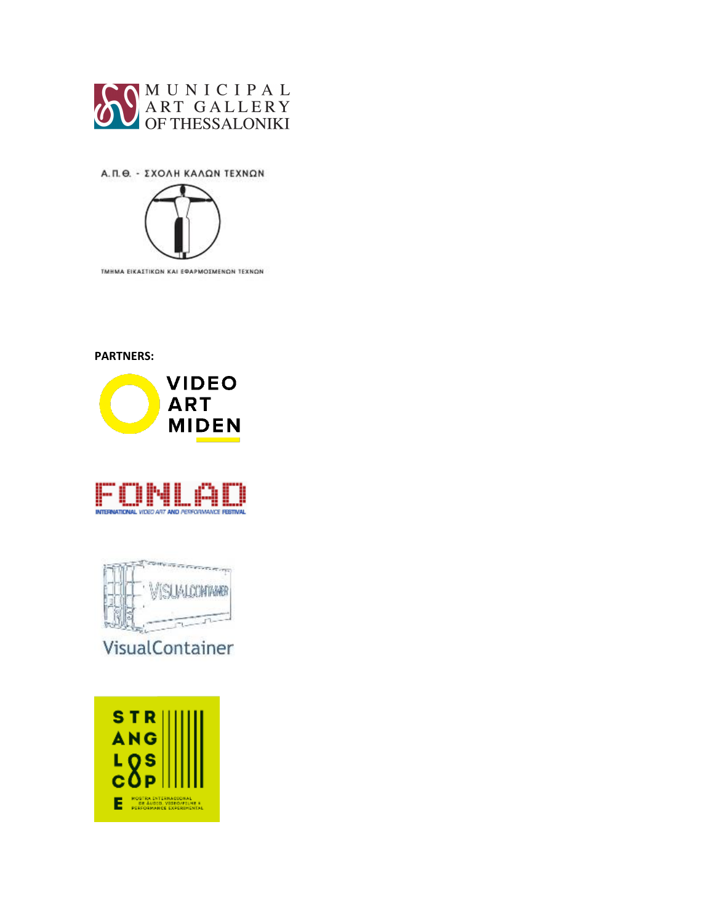

Α.Π.Θ. - ΣΧΟΛΗ ΚΑΛΩΝ ΤΕΧΝΩΝ



**PARTNERS:**







VisualContainer